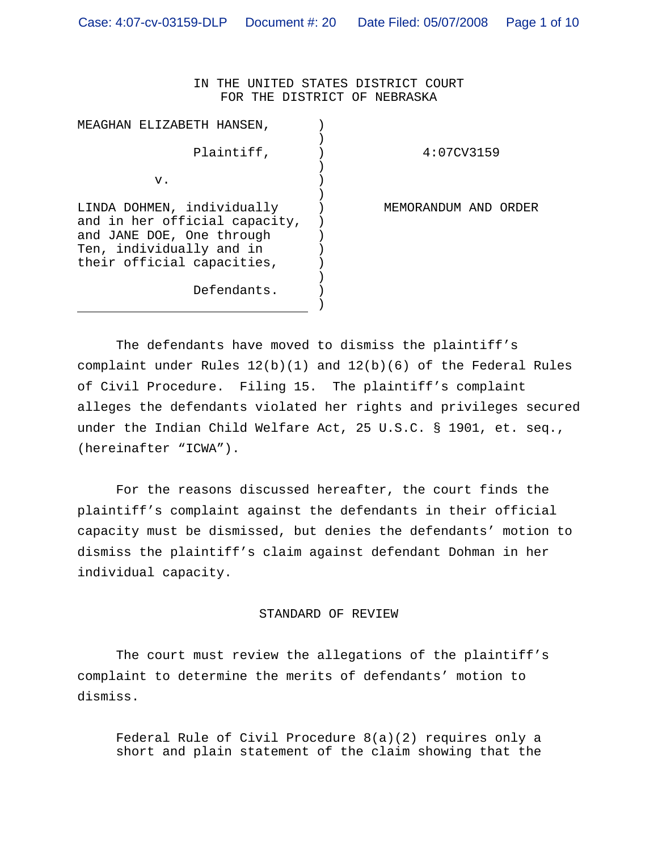IN THE UNITED STATES DISTRICT COURT FOR THE DISTRICT OF NEBRASKA

| MEAGHAN ELIZABETH HANSEN,                                                                                                                          |                         |
|----------------------------------------------------------------------------------------------------------------------------------------------------|-------------------------|
| Plaintiff,                                                                                                                                         | 4:07CV3159              |
| v.                                                                                                                                                 |                         |
| LINDA DOHMEN, individually<br>and in her official capacity,<br>and JANE DOE, One through<br>Ten, individually and in<br>their official capacities, | MEMORANDUM AND<br>ORDER |
| Defendants.                                                                                                                                        |                         |

The defendants have moved to dismiss the plaintiff's complaint under Rules 12(b)(1) and 12(b)(6) of the Federal Rules of Civil Procedure. Filing 15. The plaintiff's complaint alleges the defendants violated her rights and privileges secured under the Indian Child Welfare Act, 25 U.S.C. § 1901, et. seq., (hereinafter "ICWA").

For the reasons discussed hereafter, the court finds the plaintiff's complaint against the defendants in their official capacity must be dismissed, but denies the defendants' motion to dismiss the plaintiff's claim against defendant Dohman in her individual capacity.

## STANDARD OF REVIEW

The court must review the allegations of the plaintiff's complaint to determine the merits of defendants' motion to dismiss.

Federal Rule of Civil Procedure 8(a)(2) requires only a short and plain statement of the claim showing that the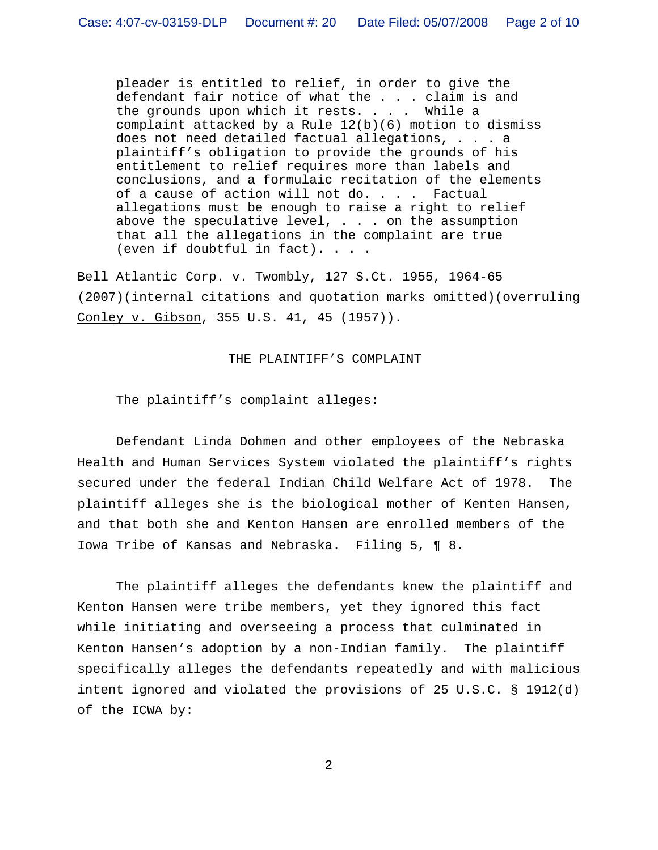pleader is entitled to relief, in order to give the defendant fair notice of what the . . . claim is and the grounds upon which it rests. . . . While a complaint attacked by a Rule  $12(b)(6)$  motion to dismiss does not need detailed factual allegations, . . . a plaintiff's obligation to provide the grounds of his entitlement to relief requires more than labels and conclusions, and a formulaic recitation of the elements of a cause of action will not do. . . . Factual allegations must be enough to raise a right to relief above the speculative level,  $\ldots$  on the assumption that all the allegations in the complaint are true (even if doubtful in fact). . . .

Bell Atlantic Corp. v. Twombly, 127 S.Ct. 1955, 1964-65 (2007)(internal citations and quotation marks omitted)(overruling Conley v. Gibson, 355 U.S. 41, 45 (1957)).

THE PLAINTIFF'S COMPLAINT

The plaintiff's complaint alleges:

Defendant Linda Dohmen and other employees of the Nebraska Health and Human Services System violated the plaintiff's rights secured under the federal Indian Child Welfare Act of 1978. The plaintiff alleges she is the biological mother of Kenten Hansen, and that both she and Kenton Hansen are enrolled members of the Iowa Tribe of Kansas and Nebraska. Filing 5, ¶ 8.

The plaintiff alleges the defendants knew the plaintiff and Kenton Hansen were tribe members, yet they ignored this fact while initiating and overseeing a process that culminated in Kenton Hansen's adoption by a non-Indian family. The plaintiff specifically alleges the defendants repeatedly and with malicious intent ignored and violated the provisions of 25 U.S.C. § 1912(d) of the ICWA by: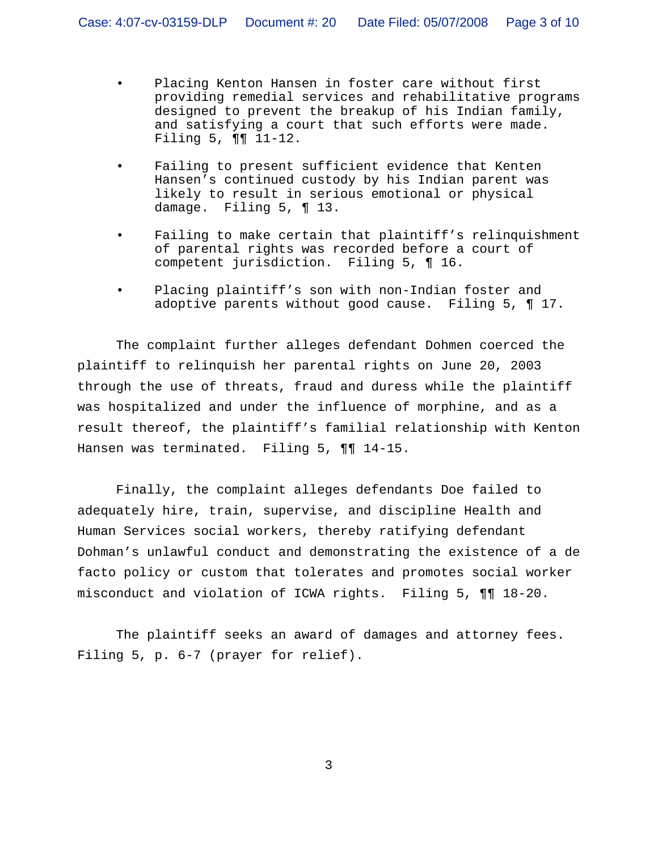- Placing Kenton Hansen in foster care without first providing remedial services and rehabilitative programs designed to prevent the breakup of his Indian family, and satisfying a court that such efforts were made. Filing 5, ¶¶ 11-12.
- Failing to present sufficient evidence that Kenten Hansen's continued custody by his Indian parent was likely to result in serious emotional or physical damage. Filing 5, ¶ 13.
- Failing to make certain that plaintiff's relinquishment of parental rights was recorded before a court of competent jurisdiction. Filing 5, ¶ 16.
- Placing plaintiff's son with non-Indian foster and adoptive parents without good cause. Filing 5, ¶ 17.

The complaint further alleges defendant Dohmen coerced the plaintiff to relinquish her parental rights on June 20, 2003 through the use of threats, fraud and duress while the plaintiff was hospitalized and under the influence of morphine, and as a result thereof, the plaintiff's familial relationship with Kenton Hansen was terminated. Filing 5, ¶¶ 14-15.

Finally, the complaint alleges defendants Doe failed to adequately hire, train, supervise, and discipline Health and Human Services social workers, thereby ratifying defendant Dohman's unlawful conduct and demonstrating the existence of a de facto policy or custom that tolerates and promotes social worker misconduct and violation of ICWA rights. Filing 5, ¶¶ 18-20.

The plaintiff seeks an award of damages and attorney fees. Filing 5, p. 6-7 (prayer for relief).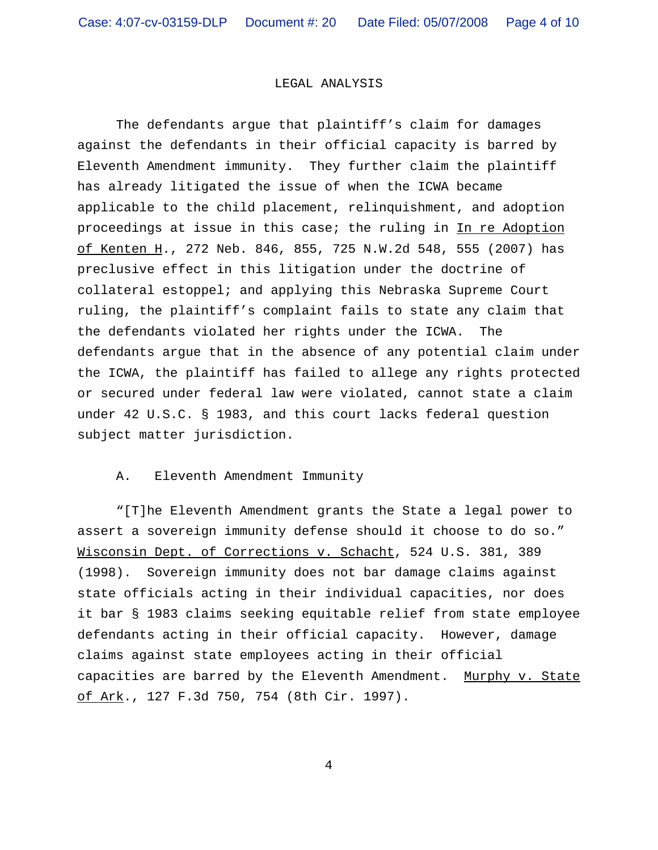## LEGAL ANALYSIS

The defendants argue that plaintiff's claim for damages against the defendants in their official capacity is barred by Eleventh Amendment immunity. They further claim the plaintiff has already litigated the issue of when the ICWA became applicable to the child placement, relinquishment, and adoption proceedings at issue in this case; the ruling in In re Adoption of Kenten H., 272 Neb. 846, 855, 725 N.W.2d 548, 555 (2007) has preclusive effect in this litigation under the doctrine of collateral estoppel; and applying this Nebraska Supreme Court ruling, the plaintiff's complaint fails to state any claim that the defendants violated her rights under the ICWA. The defendants argue that in the absence of any potential claim under the ICWA, the plaintiff has failed to allege any rights protected or secured under federal law were violated, cannot state a claim under 42 U.S.C. § 1983, and this court lacks federal question subject matter jurisdiction.

## A. Eleventh Amendment Immunity

"[T]he Eleventh Amendment grants the State a legal power to assert a sovereign immunity defense should it choose to do so." Wisconsin Dept. of Corrections v. Schacht, 524 U.S. 381, 389 (1998). Sovereign immunity does not bar damage claims against state officials acting in their individual capacities, nor does it bar § 1983 claims seeking equitable relief from state employee defendants acting in their official capacity. However, damage claims against state employees acting in their official capacities are barred by the Eleventh Amendment. Murphy v. State of Ark., 127 F.3d 750, 754 (8th Cir. 1997).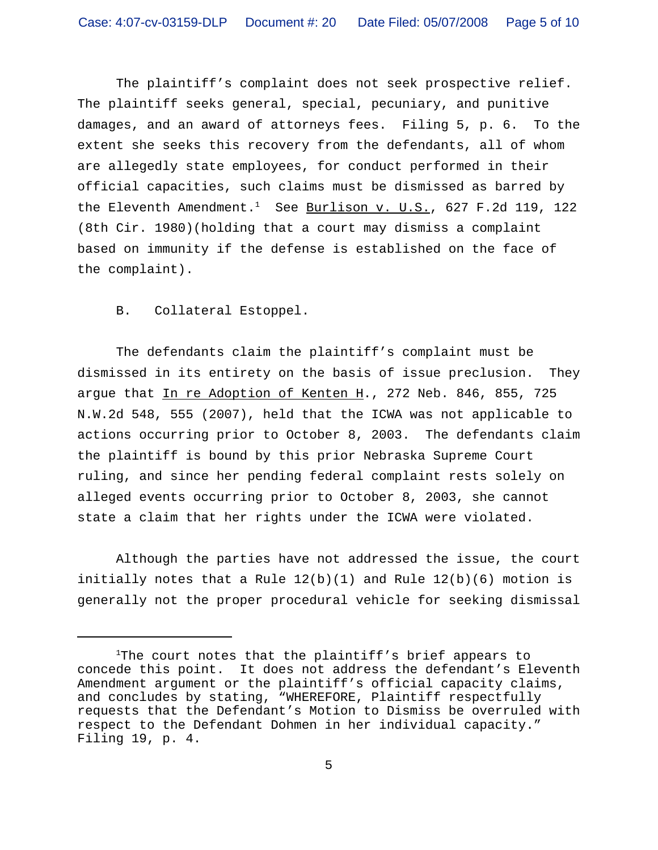The plaintiff's complaint does not seek prospective relief. The plaintiff seeks general, special, pecuniary, and punitive damages, and an award of attorneys fees. Filing 5, p. 6. To the extent she seeks this recovery from the defendants, all of whom are allegedly state employees, for conduct performed in their official capacities, such claims must be dismissed as barred by the Eleventh Amendment.<sup>1</sup> See Burlison v. U.S., 627 F.2d 119, 122 (8th Cir. 1980)(holding that a court may dismiss a complaint based on immunity if the defense is established on the face of the complaint).

B. Collateral Estoppel.

The defendants claim the plaintiff's complaint must be dismissed in its entirety on the basis of issue preclusion. They argue that In re Adoption of Kenten H., 272 Neb. 846, 855, 725 N.W.2d 548, 555 (2007), held that the ICWA was not applicable to actions occurring prior to October 8, 2003. The defendants claim the plaintiff is bound by this prior Nebraska Supreme Court ruling, and since her pending federal complaint rests solely on alleged events occurring prior to October 8, 2003, she cannot state a claim that her rights under the ICWA were violated.

Although the parties have not addressed the issue, the court initially notes that a Rule  $12(b)(1)$  and Rule  $12(b)(6)$  motion is generally not the proper procedural vehicle for seeking dismissal

<sup>&</sup>lt;sup>1</sup>The court notes that the plaintiff's brief appears to concede this point. It does not address the defendant's Eleventh Amendment argument or the plaintiff's official capacity claims, and concludes by stating, "WHEREFORE, Plaintiff respectfully requests that the Defendant's Motion to Dismiss be overruled with respect to the Defendant Dohmen in her individual capacity." Filing 19, p. 4.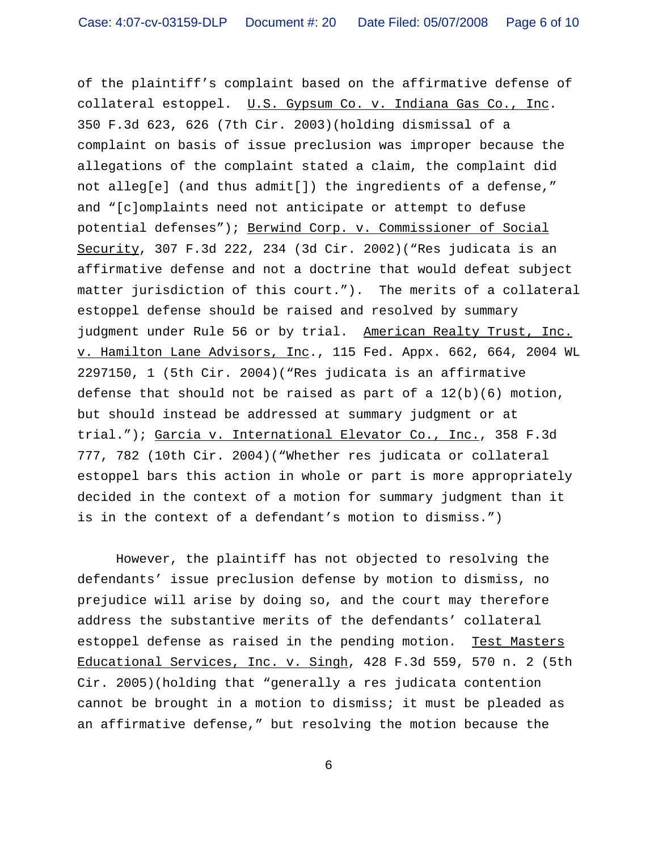of the plaintiff's complaint based on the affirmative defense of collateral estoppel. U.S. Gypsum Co. v. Indiana Gas Co., Inc. 350 F.3d 623, 626 (7th Cir. 2003)(holding dismissal of a complaint on basis of issue preclusion was improper because the allegations of the complaint stated a claim, the complaint did not alleg[e] (and thus admit[]) the ingredients of a defense," and "[c]omplaints need not anticipate or attempt to defuse potential defenses"); Berwind Corp. v. Commissioner of Social Security, 307 F.3d 222, 234 (3d Cir. 2002)("Res judicata is an affirmative defense and not a doctrine that would defeat subject matter jurisdiction of this court."). The merits of a collateral estoppel defense should be raised and resolved by summary judgment under Rule 56 or by trial. American Realty Trust, Inc. v. Hamilton Lane Advisors, Inc., 115 Fed. Appx. 662, 664, 2004 WL 2297150, 1 (5th Cir. 2004)("Res judicata is an affirmative defense that should not be raised as part of a  $12(b)(6)$  motion, but should instead be addressed at summary judgment or at trial."); Garcia v. International Elevator Co., Inc., 358 F.3d 777, 782 (10th Cir. 2004)("Whether res judicata or collateral estoppel bars this action in whole or part is more appropriately decided in the context of a motion for summary judgment than it is in the context of a defendant's motion to dismiss.")

However, the plaintiff has not objected to resolving the defendants' issue preclusion defense by motion to dismiss, no prejudice will arise by doing so, and the court may therefore address the substantive merits of the defendants' collateral estoppel defense as raised in the pending motion. Test Masters Educational Services, Inc. v. Singh, 428 F.3d 559, 570 n. 2 (5th Cir. 2005)(holding that "generally a res judicata contention cannot be brought in a motion to dismiss; it must be pleaded as an affirmative defense," but resolving the motion because the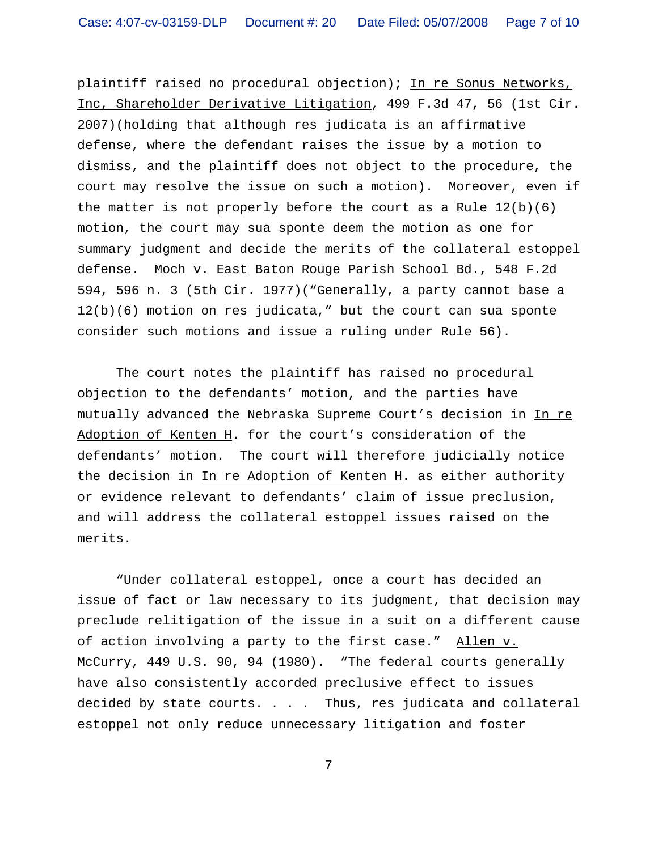plaintiff raised no procedural objection); In re Sonus Networks, Inc, Shareholder Derivative Litigation, 499 F.3d 47, 56 (1st Cir. 2007)(holding that although res judicata is an affirmative defense, where the defendant raises the issue by a motion to dismiss, and the plaintiff does not object to the procedure, the court may resolve the issue on such a motion). Moreover, even if the matter is not properly before the court as a Rule  $12(b)(6)$ motion, the court may sua sponte deem the motion as one for summary judgment and decide the merits of the collateral estoppel defense. Moch v. East Baton Rouge Parish School Bd., 548 F.2d 594, 596 n. 3 (5th Cir. 1977)("Generally, a party cannot base a 12(b)(6) motion on res judicata," but the court can sua sponte consider such motions and issue a ruling under Rule 56).

The court notes the plaintiff has raised no procedural objection to the defendants' motion, and the parties have mutually advanced the Nebraska Supreme Court's decision in In re Adoption of Kenten H. for the court's consideration of the defendants' motion. The court will therefore judicially notice the decision in In re Adoption of Kenten H. as either authority or evidence relevant to defendants' claim of issue preclusion, and will address the collateral estoppel issues raised on the merits.

"Under collateral estoppel, once a court has decided an issue of fact or law necessary to its judgment, that decision may preclude relitigation of the issue in a suit on a different cause of action involving a party to the first case." Allen v. McCurry, 449 U.S. 90, 94 (1980). "The federal courts generally have also consistently accorded preclusive effect to issues decided by state courts. . . . Thus, res judicata and collateral estoppel not only reduce unnecessary litigation and foster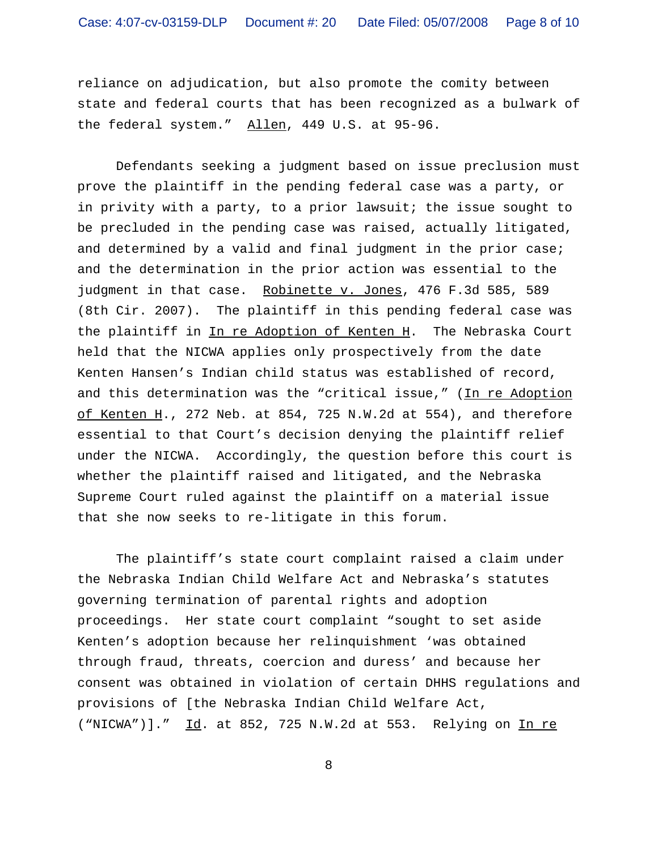reliance on adjudication, but also promote the comity between state and federal courts that has been recognized as a bulwark of the federal system." Allen, 449 U.S. at 95-96.

Defendants seeking a judgment based on issue preclusion must prove the plaintiff in the pending federal case was a party, or in privity with a party, to a prior lawsuit; the issue sought to be precluded in the pending case was raised, actually litigated, and determined by a valid and final judgment in the prior case; and the determination in the prior action was essential to the judgment in that case. Robinette v. Jones, 476 F.3d 585, 589 (8th Cir. 2007). The plaintiff in this pending federal case was the plaintiff in In re Adoption of Kenten H. The Nebraska Court held that the NICWA applies only prospectively from the date Kenten Hansen's Indian child status was established of record, and this determination was the "critical issue," (In re Adoption of Kenten H., 272 Neb. at 854, 725 N.W.2d at 554), and therefore essential to that Court's decision denying the plaintiff relief under the NICWA. Accordingly, the question before this court is whether the plaintiff raised and litigated, and the Nebraska Supreme Court ruled against the plaintiff on a material issue that she now seeks to re-litigate in this forum.

The plaintiff's state court complaint raised a claim under the Nebraska Indian Child Welfare Act and Nebraska's statutes governing termination of parental rights and adoption proceedings. Her state court complaint "sought to set aside Kenten's adoption because her relinquishment 'was obtained through fraud, threats, coercion and duress' and because her consent was obtained in violation of certain DHHS regulations and provisions of [the Nebraska Indian Child Welfare Act, ("NICWA")]." Id. at 852, 725 N.W.2d at 553. Relying on In re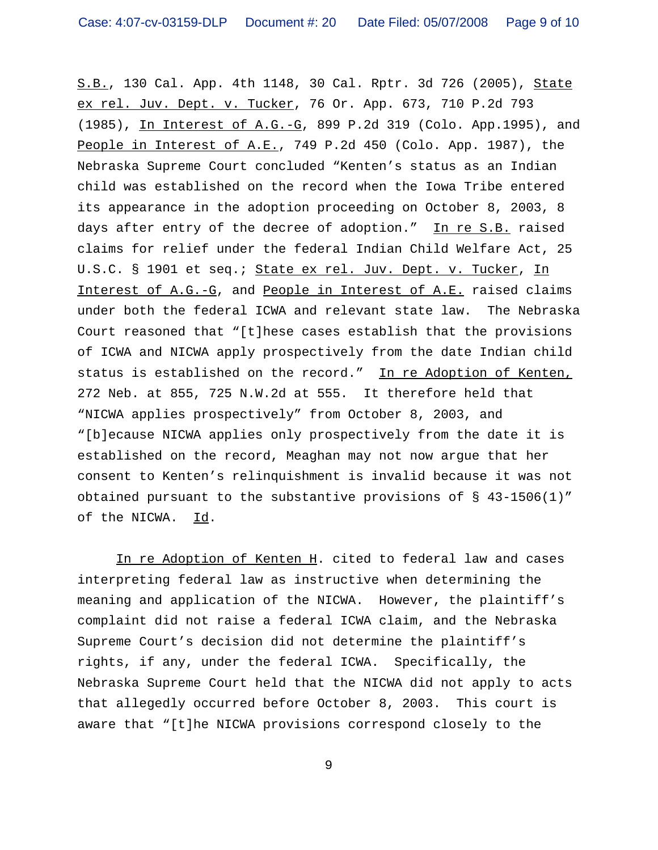S.B., 130 Cal. App. 4th 1148, 30 Cal. Rptr. 3d 726 (2005), State ex rel. Juv. Dept. v. Tucker, 76 Or. App. 673, 710 P.2d 793 (1985), In Interest of A.G.-G, 899 P.2d 319 (Colo. App.1995), and People in Interest of A.E., 749 P.2d 450 (Colo. App. 1987), the Nebraska Supreme Court concluded "Kenten's status as an Indian child was established on the record when the Iowa Tribe entered its appearance in the adoption proceeding on October 8, 2003, 8 days after entry of the decree of adoption." In re S.B. raised claims for relief under the federal Indian Child Welfare Act, 25 U.S.C. § 1901 et seq.; State ex rel. Juv. Dept. v. Tucker, In Interest of A.G.-G, and People in Interest of A.E. raised claims under both the federal ICWA and relevant state law. The Nebraska Court reasoned that "[t]hese cases establish that the provisions of ICWA and NICWA apply prospectively from the date Indian child status is established on the record." In re Adoption of Kenten, 272 Neb. at 855, 725 N.W.2d at 555. It therefore held that "NICWA applies prospectively" from October 8, 2003, and "[b]ecause NICWA applies only prospectively from the date it is established on the record, Meaghan may not now argue that her consent to Kenten's relinquishment is invalid because it was not obtained pursuant to the substantive provisions of § 43-1506(1)" of the NICWA. Id.

In re Adoption of Kenten H. cited to federal law and cases interpreting federal law as instructive when determining the meaning and application of the NICWA. However, the plaintiff's complaint did not raise a federal ICWA claim, and the Nebraska Supreme Court's decision did not determine the plaintiff's rights, if any, under the federal ICWA. Specifically, the Nebraska Supreme Court held that the NICWA did not apply to acts that allegedly occurred before October 8, 2003. This court is aware that "[t]he NICWA provisions correspond closely to the